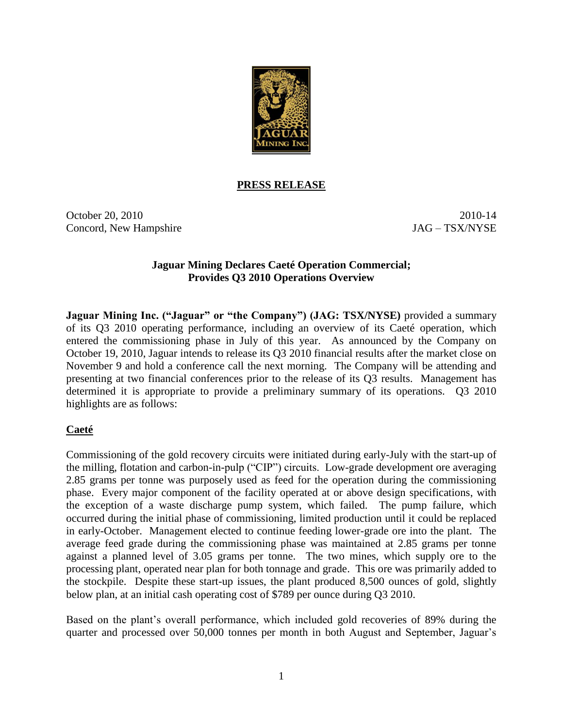

#### **PRESS RELEASE**

October 20, 2010 2010-14 Concord, New Hampshire JAG – TSX/NYSE

#### **Jaguar Mining Declares Caeté Operation Commercial; Provides Q3 2010 Operations Overview**

**Jaguar Mining Inc. ("Jaguar" or "the Company") (JAG: TSX/NYSE)** provided a summary of its Q3 2010 operating performance, including an overview of its Caeté operation, which entered the commissioning phase in July of this year. As announced by the Company on October 19, 2010, Jaguar intends to release its Q3 2010 financial results after the market close on November 9 and hold a conference call the next morning. The Company will be attending and presenting at two financial conferences prior to the release of its Q3 results. Management has determined it is appropriate to provide a preliminary summary of its operations. Q3 2010 highlights are as follows:

# **Caeté**

Commissioning of the gold recovery circuits were initiated during early-July with the start-up of the milling, flotation and carbon-in-pulp ("CIP") circuits. Low-grade development ore averaging 2.85 grams per tonne was purposely used as feed for the operation during the commissioning phase. Every major component of the facility operated at or above design specifications, with the exception of a waste discharge pump system, which failed. The pump failure, which occurred during the initial phase of commissioning, limited production until it could be replaced in early-October. Management elected to continue feeding lower-grade ore into the plant. The average feed grade during the commissioning phase was maintained at 2.85 grams per tonne against a planned level of 3.05 grams per tonne. The two mines, which supply ore to the processing plant, operated near plan for both tonnage and grade. This ore was primarily added to the stockpile. Despite these start-up issues, the plant produced 8,500 ounces of gold, slightly below plan, at an initial cash operating cost of \$789 per ounce during Q3 2010.

Based on the plant's overall performance, which included gold recoveries of 89% during the quarter and processed over 50,000 tonnes per month in both August and September, Jaguar's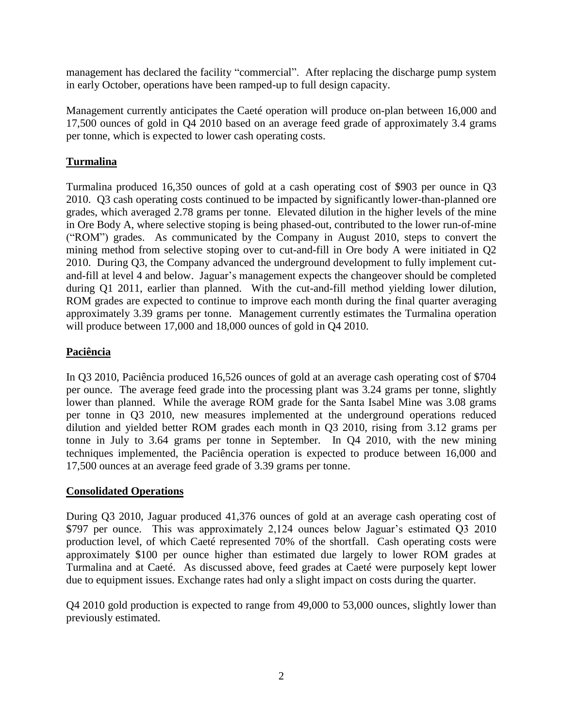management has declared the facility "commercial". After replacing the discharge pump system in early October, operations have been ramped-up to full design capacity.

Management currently anticipates the Caeté operation will produce on-plan between 16,000 and 17,500 ounces of gold in Q4 2010 based on an average feed grade of approximately 3.4 grams per tonne, which is expected to lower cash operating costs.

# **Turmalina**

Turmalina produced 16,350 ounces of gold at a cash operating cost of \$903 per ounce in Q3 2010. Q3 cash operating costs continued to be impacted by significantly lower-than-planned ore grades, which averaged 2.78 grams per tonne. Elevated dilution in the higher levels of the mine in Ore Body A, where selective stoping is being phased-out, contributed to the lower run-of-mine ("ROM") grades. As communicated by the Company in August 2010, steps to convert the mining method from selective stoping over to cut-and-fill in Ore body A were initiated in Q2 2010. During Q3, the Company advanced the underground development to fully implement cutand-fill at level 4 and below. Jaguar's management expects the changeover should be completed during Q1 2011, earlier than planned. With the cut-and-fill method yielding lower dilution, ROM grades are expected to continue to improve each month during the final quarter averaging approximately 3.39 grams per tonne. Management currently estimates the Turmalina operation will produce between 17,000 and 18,000 ounces of gold in Q4 2010.

# **Paciência**

In Q3 2010, Paciência produced 16,526 ounces of gold at an average cash operating cost of \$704 per ounce. The average feed grade into the processing plant was 3.24 grams per tonne, slightly lower than planned. While the average ROM grade for the Santa Isabel Mine was 3.08 grams per tonne in Q3 2010, new measures implemented at the underground operations reduced dilution and yielded better ROM grades each month in Q3 2010, rising from 3.12 grams per tonne in July to 3.64 grams per tonne in September. In Q4 2010, with the new mining techniques implemented, the Paciência operation is expected to produce between 16,000 and 17,500 ounces at an average feed grade of 3.39 grams per tonne.

# **Consolidated Operations**

During Q3 2010, Jaguar produced 41,376 ounces of gold at an average cash operating cost of \$797 per ounce. This was approximately 2,124 ounces below Jaguar's estimated Q3 2010 production level, of which Caeté represented 70% of the shortfall. Cash operating costs were approximately \$100 per ounce higher than estimated due largely to lower ROM grades at Turmalina and at Caeté. As discussed above, feed grades at Caeté were purposely kept lower due to equipment issues. Exchange rates had only a slight impact on costs during the quarter.

Q4 2010 gold production is expected to range from 49,000 to 53,000 ounces, slightly lower than previously estimated.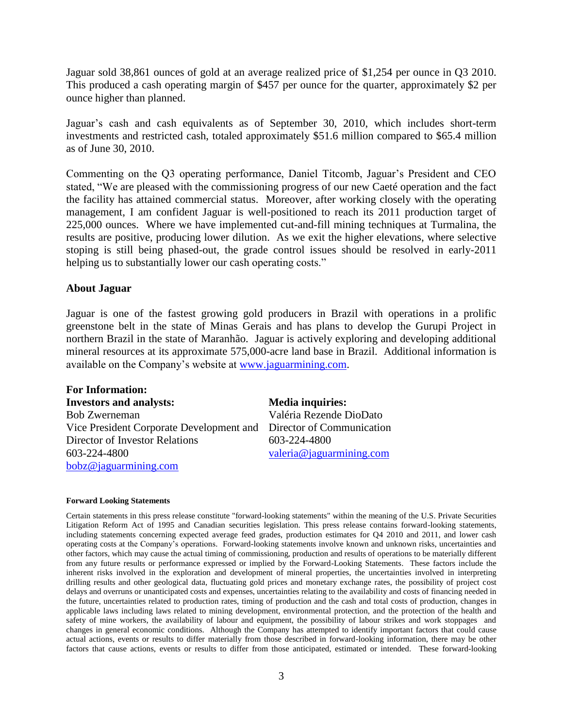Jaguar sold 38,861 ounces of gold at an average realized price of \$1,254 per ounce in Q3 2010. This produced a cash operating margin of \$457 per ounce for the quarter, approximately \$2 per ounce higher than planned.

Jaguar's cash and cash equivalents as of September 30, 2010, which includes short-term investments and restricted cash, totaled approximately \$51.6 million compared to \$65.4 million as of June 30, 2010.

Commenting on the Q3 operating performance, Daniel Titcomb, Jaguar's President and CEO stated, "We are pleased with the commissioning progress of our new Caeté operation and the fact the facility has attained commercial status. Moreover, after working closely with the operating management, I am confident Jaguar is well-positioned to reach its 2011 production target of 225,000 ounces. Where we have implemented cut-and-fill mining techniques at Turmalina, the results are positive, producing lower dilution. As we exit the higher elevations, where selective stoping is still being phased-out, the grade control issues should be resolved in early-2011 helping us to substantially lower our cash operating costs."

#### **About Jaguar**

Jaguar is one of the fastest growing gold producers in Brazil with operations in a prolific greenstone belt in the state of Minas Gerais and has plans to develop the Gurupi Project in northern Brazil in the state of Maranhão. Jaguar is actively exploring and developing additional mineral resources at its approximate 575,000-acre land base in Brazil. Additional information is available on the Company's website at [www.jaguarmining.com.](http://www.jaguarmining.com/)

| <b>For Information:</b>                                   |                         |
|-----------------------------------------------------------|-------------------------|
| <b>Investors and analysts:</b>                            | <b>Media inquiries:</b> |
| <b>Bob Zwerneman</b>                                      | Valéria Rezende I       |
| Vice President Corporate Development and Director of Comn |                         |
| Director of Investor Relations                            | 603-224-4800            |
| 603-224-4800                                              | valeria@jaguarmi        |
| bobz@jaguarming.com                                       |                         |

ezende DioDato of Communication 4800 aguarmining.com

#### **Forward Looking Statements**

Certain statements in this press release constitute "forward-looking statements" within the meaning of the U.S. Private Securities Litigation Reform Act of 1995 and Canadian securities legislation. This press release contains forward-looking statements, including statements concerning expected average feed grades, production estimates for Q4 2010 and 2011, and lower cash operating costs at the Company's operations. Forward-looking statements involve known and unknown risks, uncertainties and other factors, which may cause the actual timing of commissioning, production and results of operations to be materially different from any future results or performance expressed or implied by the Forward-Looking Statements. These factors include the inherent risks involved in the exploration and development of mineral properties, the uncertainties involved in interpreting drilling results and other geological data, fluctuating gold prices and monetary exchange rates, the possibility of project cost delays and overruns or unanticipated costs and expenses, uncertainties relating to the availability and costs of financing needed in the future, uncertainties related to production rates, timing of production and the cash and total costs of production, changes in applicable laws including laws related to mining development, environmental protection, and the protection of the health and safety of mine workers, the availability of labour and equipment, the possibility of labour strikes and work stoppages and changes in general economic conditions. Although the Company has attempted to identify important factors that could cause actual actions, events or results to differ materially from those described in forward-looking information, there may be other factors that cause actions, events or results to differ from those anticipated, estimated or intended. These forward-looking